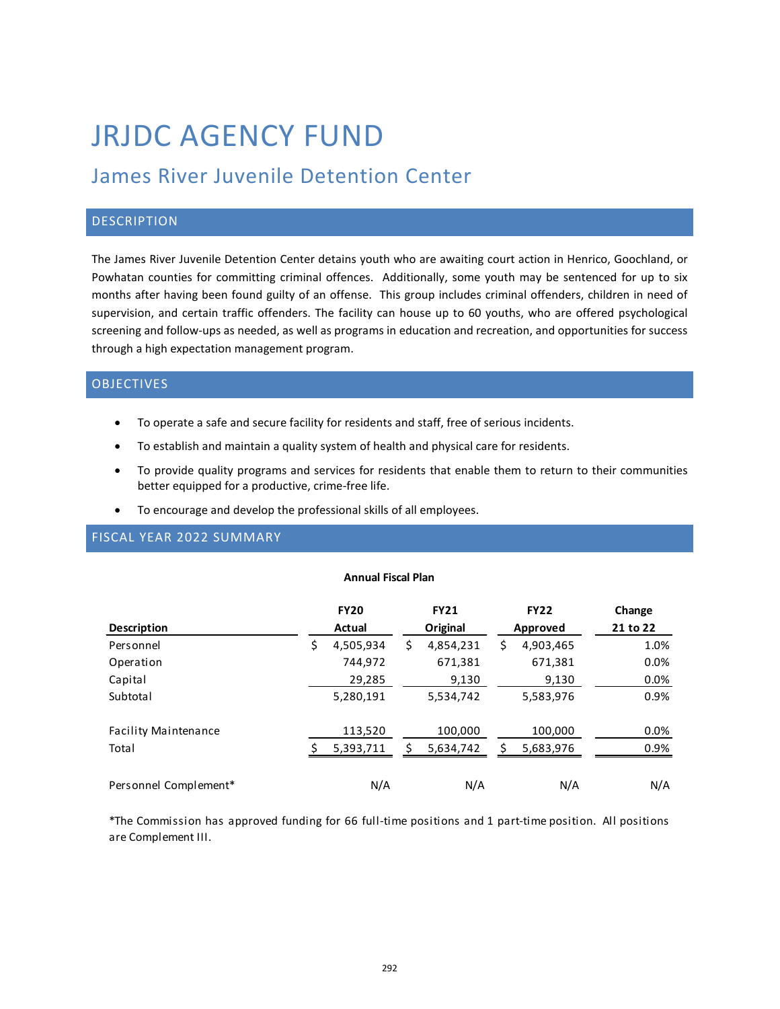# JRJDC AGENCY FUND

# James River Juvenile Detention Center

## **DESCRIPTION**

The James River Juvenile Detention Center detains youth who are awaiting court action in Henrico, Goochland, or Powhatan counties for committing criminal offences. Additionally, some youth may be sentenced for up to six months after having been found guilty of an offense. This group includes criminal offenders, children in need of supervision, and certain traffic offenders. The facility can house up to 60 youths, who are offered psychological screening and follow-ups as needed, as well as programs in education and recreation, and opportunities for success through a high expectation management program.

### OBJECTIVES

- To operate a safe and secure facility for residents and staff, free of serious incidents.
- To establish and maintain a quality system of health and physical care for residents.
- To provide quality programs and services for residents that enable them to return to their communities better equipped for a productive, crime-free life.
- To encourage and develop the professional skills of all employees.

# FISCAL YEAR 2022 SUMMARY

#### **Annual Fiscal Plan**

|                             |        | <b>FY20</b> |          | <b>FY21</b> |          | <b>FY22</b> | Change   |
|-----------------------------|--------|-------------|----------|-------------|----------|-------------|----------|
| <b>Description</b>          | Actual |             | Original |             | Approved |             | 21 to 22 |
| Personnel                   | Ş      | 4,505,934   | \$       | 4,854,231   | \$       | 4,903,465   | 1.0%     |
| Operation                   |        | 744,972     |          | 671,381     |          | 671,381     | $0.0\%$  |
| Capital                     |        | 29,285      |          | 9,130       |          | 9,130       | 0.0%     |
| Subtotal                    |        | 5,280,191   |          | 5,534,742   |          | 5,583,976   | 0.9%     |
| <b>Facility Maintenance</b> |        | 113,520     |          | 100,000     |          | 100,000     | 0.0%     |
| Total                       |        | 5,393,711   |          | 5,634,742   |          | 5,683,976   | 0.9%     |
| Personnel Complement*       |        | N/A         |          | N/A         |          | N/A         | N/A      |

\*The Commission has approved funding for 66 full-time positions and 1 part-time position. All positions are Complement III.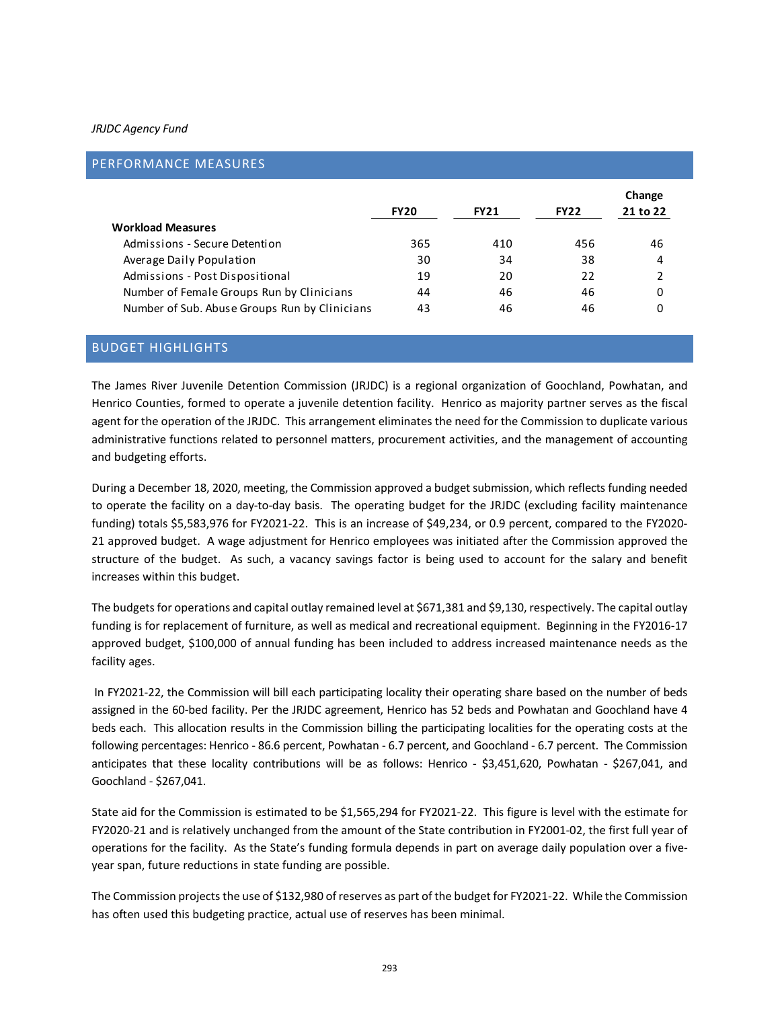#### *JRJDC Agency Fund*

|                                               |             |             |             | Change   |
|-----------------------------------------------|-------------|-------------|-------------|----------|
|                                               | <b>FY20</b> | <b>FY21</b> | <b>FY22</b> | 21 to 22 |
| <b>Workload Measures</b>                      |             |             |             |          |
| Admissions - Secure Detention                 | 365         | 410         | 456         | 46       |
| Average Daily Population                      | 30          | 34          | 38          | 4        |
| Admissions - Post Dispositional               | 19          | 20          | 22          | 2        |
| Number of Female Groups Run by Clinicians     | 44          | 46          | 46          | 0        |
| Number of Sub. Abuse Groups Run by Clinicians | 43          | 46          | 46          | 0        |

# BUDGET HIGHLIGHTS

The James River Juvenile Detention Commission (JRJDC) is a regional organization of Goochland, Powhatan, and Henrico Counties, formed to operate a juvenile detention facility. Henrico as majority partner serves as the fiscal agent for the operation of the JRJDC. This arrangement eliminates the need for the Commission to duplicate various administrative functions related to personnel matters, procurement activities, and the management of accounting and budgeting efforts.

During a December 18, 2020, meeting, the Commission approved a budget submission, which reflects funding needed to operate the facility on a day-to-day basis. The operating budget for the JRJDC (excluding facility maintenance funding) totals \$5,583,976 for FY2021-22. This is an increase of \$49,234, or 0.9 percent, compared to the FY2020- 21 approved budget. A wage adjustment for Henrico employees was initiated after the Commission approved the structure of the budget. As such, a vacancy savings factor is being used to account for the salary and benefit increases within this budget.

The budgets for operations and capital outlay remained level at \$671,381 and \$9,130, respectively. The capital outlay funding is for replacement of furniture, as well as medical and recreational equipment. Beginning in the FY2016-17 approved budget, \$100,000 of annual funding has been included to address increased maintenance needs as the facility ages.

 In FY2021-22, the Commission will bill each participating locality their operating share based on the number of beds assigned in the 60-bed facility. Per the JRJDC agreement, Henrico has 52 beds and Powhatan and Goochland have 4 beds each. This allocation results in the Commission billing the participating localities for the operating costs at the following percentages: Henrico - 86.6 percent, Powhatan - 6.7 percent, and Goochland - 6.7 percent. The Commission anticipates that these locality contributions will be as follows: Henrico - \$3,451,620, Powhatan - \$267,041, and Goochland - \$267,041.

State aid for the Commission is estimated to be \$1,565,294 for FY2021-22. This figure is level with the estimate for FY2020-21 and is relatively unchanged from the amount of the State contribution in FY2001-02, the first full year of operations for the facility. As the State's funding formula depends in part on average daily population over a fiveyear span, future reductions in state funding are possible.

The Commission projects the use of \$132,980 of reserves as part of the budget for FY2021-22. While the Commission has often used this budgeting practice, actual use of reserves has been minimal.